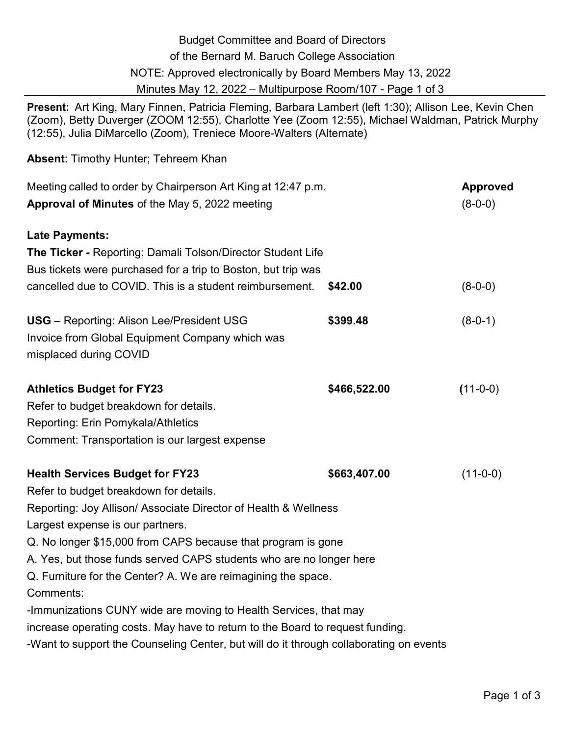| <b>Budget Committee and Board of Directors</b>                                                                                                                                                                                                                                            |              |                 |
|-------------------------------------------------------------------------------------------------------------------------------------------------------------------------------------------------------------------------------------------------------------------------------------------|--------------|-----------------|
| of the Bernard M. Baruch College Association                                                                                                                                                                                                                                              |              |                 |
| NOTE: Approved electronically by Board Members May 13, 2022                                                                                                                                                                                                                               |              |                 |
| Minutes May 12, 2022 - Multipurpose Room/107 - Page 1 of 3                                                                                                                                                                                                                                |              |                 |
| <b>Present:</b> Art King, Mary Finnen, Patricia Fleming, Barbara Lambert (left 1:30); Allison Lee, Kevin Chen<br>(Zoom), Betty Duverger (ZOOM 12:55), Charlotte Yee (Zoom 12:55), Michael Waldman, Patrick Murphy<br>(12:55), Julia DiMarcello (Zoom), Treniece Moore-Walters (Alternate) |              |                 |
| <b>Absent:</b> Timothy Hunter; Tehreem Khan                                                                                                                                                                                                                                               |              |                 |
| Meeting called to order by Chairperson Art King at 12:47 p.m.                                                                                                                                                                                                                             |              | <b>Approved</b> |
| <b>Approval of Minutes of the May 5, 2022 meeting</b>                                                                                                                                                                                                                                     |              | $(8-0-0)$       |
| <b>Late Payments:</b>                                                                                                                                                                                                                                                                     |              |                 |
| <b>The Ticker - Reporting: Damali Tolson/Director Student Life</b>                                                                                                                                                                                                                        |              |                 |
| Bus tickets were purchased for a trip to Boston, but trip was                                                                                                                                                                                                                             |              |                 |
| cancelled due to COVID. This is a student reimbursement.                                                                                                                                                                                                                                  | \$42.00      | $(8-0-0)$       |
| <b>USG</b> – Reporting: Alison Lee/President USG                                                                                                                                                                                                                                          | \$399.48     | $(8-0-1)$       |
| Invoice from Global Equipment Company which was                                                                                                                                                                                                                                           |              |                 |
| misplaced during COVID                                                                                                                                                                                                                                                                    |              |                 |
| <b>Athletics Budget for FY23</b>                                                                                                                                                                                                                                                          | \$466,522.00 | $(11-0-0)$      |
| Refer to budget breakdown for details.                                                                                                                                                                                                                                                    |              |                 |
| Reporting: Erin Pomykala/Athletics                                                                                                                                                                                                                                                        |              |                 |
| Comment: Transportation is our largest expense                                                                                                                                                                                                                                            |              |                 |
| <b>Health Services Budget for FY23</b>                                                                                                                                                                                                                                                    | \$663,407.00 | $(11-0-0)$      |
| Refer to budget breakdown for details.                                                                                                                                                                                                                                                    |              |                 |
| Reporting: Joy Allison/ Associate Director of Health & Wellness                                                                                                                                                                                                                           |              |                 |
| Largest expense is our partners.                                                                                                                                                                                                                                                          |              |                 |
| Q. No longer \$15,000 from CAPS because that program is gone                                                                                                                                                                                                                              |              |                 |
| A. Yes, but those funds served CAPS students who are no longer here                                                                                                                                                                                                                       |              |                 |
| Q. Furniture for the Center? A. We are reimagining the space.                                                                                                                                                                                                                             |              |                 |
| Comments:                                                                                                                                                                                                                                                                                 |              |                 |
| -Immunizations CUNY wide are moving to Health Services, that may                                                                                                                                                                                                                          |              |                 |
| increase operating costs. May have to return to the Board to request funding.                                                                                                                                                                                                             |              |                 |
| -Want to support the Counseling Center, but will do it through collaborating on events                                                                                                                                                                                                    |              |                 |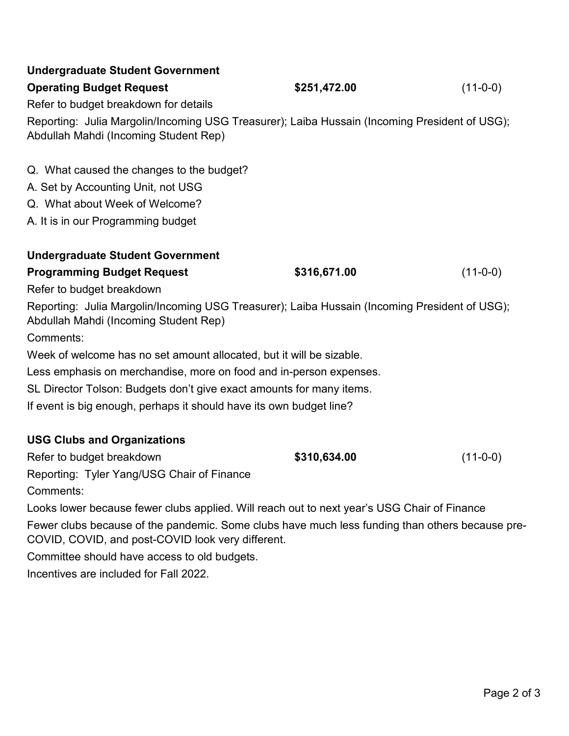| <b>Undergraduate Student Government</b>                                                                                                |              |            |  |
|----------------------------------------------------------------------------------------------------------------------------------------|--------------|------------|--|
| <b>Operating Budget Request</b>                                                                                                        | \$251,472.00 | $(11-0-0)$ |  |
| Refer to budget breakdown for details                                                                                                  |              |            |  |
| Reporting: Julia Margolin/Incoming USG Treasurer); Laiba Hussain (Incoming President of USG);<br>Abdullah Mahdi (Incoming Student Rep) |              |            |  |
| Q. What caused the changes to the budget?                                                                                              |              |            |  |
| A. Set by Accounting Unit, not USG                                                                                                     |              |            |  |
| Q. What about Week of Welcome?                                                                                                         |              |            |  |
| A. It is in our Programming budget                                                                                                     |              |            |  |
| <b>Undergraduate Student Government</b>                                                                                                |              |            |  |
| <b>Programming Budget Request</b>                                                                                                      | \$316,671.00 | $(11-0-0)$ |  |
| Refer to budget breakdown                                                                                                              |              |            |  |
| Reporting: Julia Margolin/Incoming USG Treasurer); Laiba Hussain (Incoming President of USG);<br>Abdullah Mahdi (Incoming Student Rep) |              |            |  |
| Comments:                                                                                                                              |              |            |  |
| Week of welcome has no set amount allocated, but it will be sizable.                                                                   |              |            |  |
| Less emphasis on merchandise, more on food and in-person expenses.                                                                     |              |            |  |
| SL Director Tolson: Budgets don't give exact amounts for many items.                                                                   |              |            |  |
| If event is big enough, perhaps it should have its own budget line?                                                                    |              |            |  |
| <b>USG Clubs and Organizations</b>                                                                                                     |              |            |  |
| Refer to budget breakdown                                                                                                              | \$310,634.00 | $(11-0-0)$ |  |
| Reporting: Tyler Yang/USG Chair of Finance                                                                                             |              |            |  |
| Comments:                                                                                                                              |              |            |  |

Looks lower because fewer clubs applied. Will reach out to next year's USG Chair of Finance Fewer clubs because of the pandemic. Some clubs have much less funding than others because pre-COVID, COVID, and post-COVID look very different.

Committee should have access to old budgets.

Incentives are included for Fall 2022.